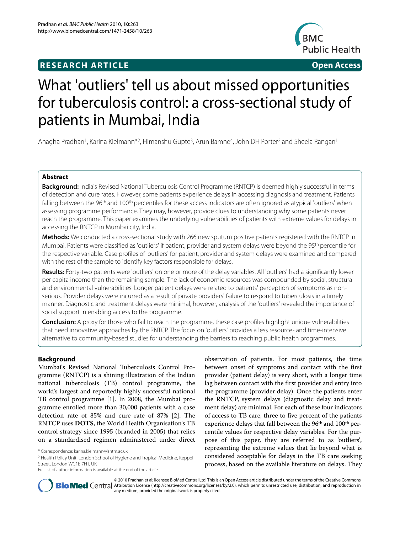# **RESEARCH ARTICLE Open Access**



# What 'outliers' tell us about missed opportunities for tuberculosis control: a cross-sectional study of patients in Mumbai, India

Anagha Pradhan1, Karina Kielmann\*2, Himanshu Gupte3, Arun Bamne4, John DH Porter2 and Sheela Rangan1

# **Abstract**

**Background:** India's Revised National Tuberculosis Control Programme (RNTCP) is deemed highly successful in terms of detection and cure rates. However, some patients experience delays in accessing diagnosis and treatment. Patients falling between the 96<sup>th</sup> and 100<sup>th</sup> percentiles for these access indicators are often ignored as atypical 'outliers' when assessing programme performance. They may, however, provide clues to understanding why some patients never reach the programme. This paper examines the underlying vulnerabilities of patients with extreme values for delays in accessing the RNTCP in Mumbai city, India.

**Methods:** We conducted a cross-sectional study with 266 new sputum positive patients registered with the RNTCP in Mumbai. Patients were classified as 'outliers' if patient, provider and system delays were beyond the 95th percentile for the respective variable. Case profiles of 'outliers' for patient, provider and system delays were examined and compared with the rest of the sample to identify key factors responsible for delays.

**Results:** Forty-two patients were 'outliers' on one or more of the delay variables. All 'outliers' had a significantly lower per capita income than the remaining sample. The lack of economic resources was compounded by social, structural and environmental vulnerabilities. Longer patient delays were related to patients' perception of symptoms as nonserious. Provider delays were incurred as a result of private providers' failure to respond to tuberculosis in a timely manner. Diagnostic and treatment delays were minimal, however, analysis of the 'outliers' revealed the importance of social support in enabling access to the programme.

**Conclusion:** A proxy for those who fail to reach the programme, these case profiles highlight unique vulnerabilities that need innovative approaches by the RNTCP. The focus on 'outliers' provides a less resource- and time-intensive alternative to community-based studies for understanding the barriers to reaching public health programmes.

# **Background**

Mumbai's Revised National Tuberculosis Control Programme (RNTCP) is a shining illustration of the Indian national tuberculosis (TB) control programme, the world's largest and reportedly highly successful national TB control programme [[1\]](#page-7-0). In 2008, the Mumbai programme enrolled more than 30,000 patients with a case detection rate of 85% and cure rate of 87% [[2\]](#page-7-1). The RNTCP uses **DOTS**, the World Health Organisation's TB control strategy since 1995 (branded in 2005) that relies on a standardised regimen administered under direct

2 Health Policy Unit, London School of Hygiene and Tropical Medicine, Keppel Street, London WC1E 7HT, UK

observation of patients. For most patients, the time between onset of symptoms and contact with the first provider (patient delay) is very short, with a longer time lag between contact with the first provider and entry into the programme (provider delay). Once the patients enter the RNTCP, system delays (diagnostic delay and treatment delay) are minimal. For each of these four indicators of access to TB care, three to five percent of the patients experience delays that fall between the 96<sup>th</sup> and 100<sup>th</sup> percentile values for respective delay variables. For the purpose of this paper, they are referred to as 'outliers', representing the extreme values that lie beyond what is considered acceptable for delays in the TB care seeking process, based on the available literature on delays. They



© 2010 Pradhan et al; licensee BioMed Central Ltd. This is an Open Access article distributed under the terms of the Creative Commons **Bio Med** Central Attribution License (http://creativecommons.org/licenses/by/2.0), which permits unrestricted use, distribution, and reproduction in any medium, provided the original work is properly cited.

<sup>\*</sup> Correspondence: karina.kielmann@lshtm.ac.uk

Full list of author information is available at the end of the article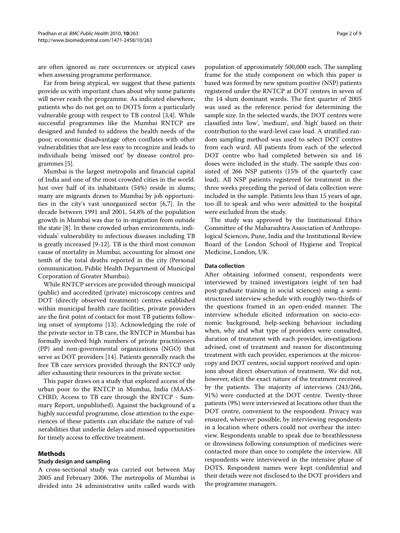are often ignored as rare occurrences or atypical cases when assessing programme performance.

Far from being atypical, we suggest that these patients provide us with important clues about why some patients will never reach the programme. As indicated elsewhere, patients who do not get on to DOTS form a particularly vulnerable group with respect to TB control [\[3](#page-7-2)[,4](#page-7-3)]. While successful programmes like the Mumbai RNTCP are designed and funded to address the health needs of the poor, economic disadvantage often conflates with other vulnerabilities that are less easy to recognize and leads to individuals being 'missed out' by disease control programmes [[5\]](#page-7-4).

Mumbai is the largest metropolis and financial capital of India and one of the most crowded cities in the world. Just over half of its inhabitants (54%) reside in slums; many are migrants drawn to Mumbai by job opportunities in the city's vast unorganized sector [[6,](#page-7-5)[7\]](#page-7-6). In the decade between 1991 and 2001, 54.8% of the population growth in Mumbai was due to in-migration from outside the state [[8\]](#page-8-0). In these crowded urban environments, individuals' vulnerability to infectious diseases including TB is greatly increased [\[9](#page-8-1)-[12\]](#page-8-2). TB is the third most common cause of mortality in Mumbai, accounting for almost one tenth of the total deaths reported in the city (Personal communication, Public Health Department of Municipal Corporation of Greater Mumbai).

While RNTCP services are provided through municipal (public) and accredited (private) microscopy centres and DOT (directly observed treatment) centres established within municipal health care facilities, private providers are the first point of contact for most TB patients following onset of symptoms [[13\]](#page-8-3). Acknowledging the role of the private sector in TB care, the RNTCP in Mumbai has formally involved high numbers of private practitioners (PP) and non-governmental organizations (NGO) that serve as DOT providers [[14\]](#page-8-4). Patients generally reach the free TB care services provided through the RNTCP only after exhausting their resources in the private sector.

This paper draws on a study that explored access of the urban poor to the RNTCP in Mumbai, India (MAAS-CHRD, Access to TB care through the RNTCP - Summary Report, unpublished). Against the background of a highly successful programme, close attention to the experiences of these patients can elucidate the nature of vulnerabilities that underlie delays and missed opportunities for timely access to effective treatment.

# **Methods**

#### **Study design and sampling**

A cross-sectional study was carried out between May 2005 and February 2006. The metropolis of Mumbai is divided into 24 administrative units called wards with

population of approximately 500,000 each. The sampling frame for the study component on which this paper is based was formed by new sputum positive (NSP) patients registered under the RNTCP at DOT centres in seven of the 14 slum dominant wards. The first quarter of 2005 was used as the reference period for determining the sample size. In the selected wards, the DOT centres were classified into 'low', 'medium', and 'high' based on their contribution to the ward-level case load. A stratified random sampling method was used to select DOT centres from each ward. All patients from each of the selected DOT centre who had completed between six and 16 doses were included in the study. The sample thus consisted of 266 NSP patients (15% of the quarterly case load). All NSP patients registered for treatment in the three weeks preceding the period of data collection were included in the sample. Patients less than 15 years of age, too ill to speak and who were admitted to the hospital were excluded from the study.

The study was approved by the Institutional Ethics Committee of the Maharashtra Association of Anthropological Sciences, Pune, India and the Institutional Review Board of the London School of Hygiene and Tropical Medicine, London, UK.

### **Data collection**

After obtaining informed consent, respondents were interviewed by trained investigators (eight of ten had post-graduate training in social sciences) using a semistructured interview schedule with roughly two-thirds of the questions framed in an open-ended manner. The interview schedule elicited information on socio-economic background, help-seeking behaviour including when, why and what type of providers were consulted, duration of treatment with each provider, investigations advised, cost of treatment and reason for discontinuing treatment with each provider, experiences at the microscopy and DOT centres, social support received and opinions about direct observation of treatment. We did not, however, elicit the exact nature of the treatment received by the patients. The majority of interviews (243/266, 91%) were conducted at the DOT centre. Twenty-three patients (9%) were interviewed at locations other than the DOT centre, convenient to the respondent. Privacy was ensured, wherever possible, by interviewing respondents in a location where others could not overhear the interview. Respondents unable to speak due to breathlessness or drowsiness following consumption of medicines were contacted more than once to complete the interview. All respondents were interviewed in the intensive phase of DOTS. Respondent names were kept confidential and their details were not disclosed to the DOT providers and the programme managers.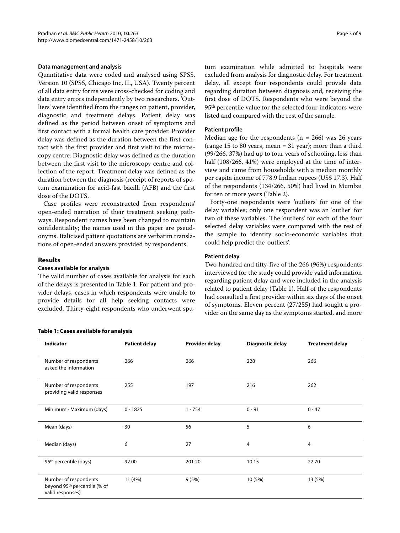# **Data management and analysis**

Quantitative data were coded and analysed using SPSS, Version 10 (SPSS, Chicago Inc, IL, USA). Twenty percent of all data entry forms were cross-checked for coding and data entry errors independently by two researchers. 'Outliers' were identified from the ranges on patient, provider, diagnostic and treatment delays. Patient delay was defined as the period between onset of symptoms and first contact with a formal health care provider. Provider delay was defined as the duration between the first contact with the first provider and first visit to the microscopy centre. Diagnostic delay was defined as the duration between the first visit to the microscopy centre and collection of the report. Treatment delay was defined as the duration between the diagnosis (receipt of reports of sputum examination for acid-fast bacilli (AFB) and the first dose of the DOTS.

Case profiles were reconstructed from respondents' open-ended narration of their treatment seeking pathways. Respondent names have been changed to maintain confidentiality; the names used in this paper are pseudonyms. Italicised patient quotations are verbatim translations of open-ended answers provided by respondents.

# **Results**

# **Cases available for analysis**

The valid number of cases available for analysis for each of the delays is presented in Table 1. For patient and provider delays, cases in which respondents were unable to provide details for all help seeking contacts were excluded. Thirty-eight respondents who underwent spu-

# **Table 1: Cases available for analysis**

tum examination while admitted to hospitals were excluded from analysis for diagnostic delay. For treatment delay, all except four respondents could provide data regarding duration between diagnosis and, receiving the first dose of DOTS. Respondents who were beyond the 95th percentile value for the selected four indicators were listed and compared with the rest of the sample.

#### **Patient profile**

Median age for the respondents ( $n = 266$ ) was 26 years (range 15 to 80 years, mean  $=$  31 year); more than a third (99/266, 37%) had up to four years of schooling, less than half (108/266, 41%) were employed at the time of interview and came from households with a median monthly per capita income of 778.9 Indian rupees (US\$ 17.3). Half of the respondents (134/266, 50%) had lived in Mumbai for ten or more years (Table [2](#page-3-0)).

Forty-one respondents were 'outliers' for one of the delay variables; only one respondent was an 'outlier' for two of these variables. The 'outliers' for each of the four selected delay variables were compared with the rest of the sample to identify socio-economic variables that could help predict the 'outliers'.

# **Patient delay**

Two hundred and fifty-five of the 266 (96%) respondents interviewed for the study could provide valid information regarding patient delay and were included in the analysis related to patient delay (Table 1). Half of the respondents had consulted a first provider within six days of the onset of symptoms. Eleven percent (27/255) had sought a provider on the same day as the symptoms started, and more

| Indicator                                                                             | <b>Patient delay</b> | Provider delay | <b>Diagnostic delay</b> | <b>Treatment delay</b> |
|---------------------------------------------------------------------------------------|----------------------|----------------|-------------------------|------------------------|
| Number of respondents<br>asked the information                                        | 266                  | 266            | 228                     | 266                    |
| Number of respondents<br>providing valid responses                                    | 255                  | 197            | 216                     | 262                    |
| Minimum - Maximum (days)                                                              | $0 - 1825$           | $1 - 754$      | $0 - 91$                | $0 - 47$               |
| Mean (days)                                                                           | 30                   | 56             | 5                       | 6                      |
| Median (days)                                                                         | 6                    | 27             | 4                       | 4                      |
| 95 <sup>th</sup> percentile (days)                                                    | 92.00                | 201.20         | 10.15                   | 22.70                  |
| Number of respondents<br>beyond 95 <sup>th</sup> percentile (% of<br>valid responses) | 11 (4%)              | 9(5%)          | 10 (5%)                 | 13 (5%)                |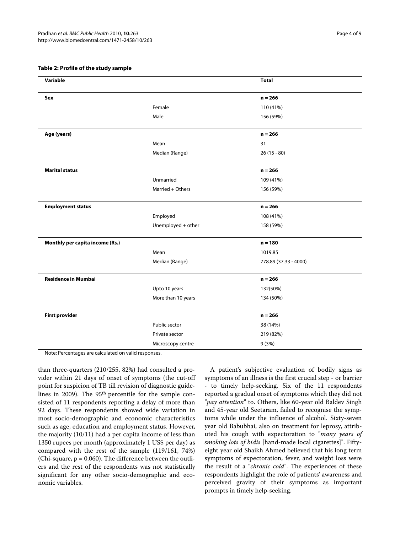# <span id="page-3-0"></span>**Table 2: Profile of the study sample**

| Variable                        |                    | <b>Total</b>          |
|---------------------------------|--------------------|-----------------------|
| Sex                             |                    | $n = 266$             |
|                                 | Female             | 110 (41%)             |
|                                 | Male               | 156 (59%)             |
| Age (years)                     |                    | $n = 266$             |
|                                 | Mean               | 31                    |
|                                 | Median (Range)     | $26(15 - 80)$         |
| <b>Marital status</b>           |                    | $n = 266$             |
|                                 | Unmarried          | 109 (41%)             |
|                                 | Married + Others   | 156 (59%)             |
| <b>Employment status</b>        |                    | $n = 266$             |
|                                 | Employed           | 108 (41%)             |
|                                 | Unemployed + other | 158 (59%)             |
| Monthly per capita income (Rs.) |                    | $n = 180$             |
|                                 | Mean               | 1019.85               |
|                                 | Median (Range)     | 778.89 (37.33 - 4000) |
| <b>Residence in Mumbai</b>      |                    | $n = 266$             |
|                                 | Upto 10 years      | 132(50%)              |
|                                 | More than 10 years | 134 (50%)             |
| <b>First provider</b>           |                    | $n = 266$             |
|                                 | Public sector      | 38 (14%)              |
|                                 | Private sector     | 219 (82%)             |
|                                 | Microscopy centre  | 9(3%)                 |

Note: Percentages are calculated on valid responses.

than three-quarters (210/255, 82%) had consulted a provider within 21 days of onset of symptoms (the cut-off point for suspicion of TB till revision of diagnostic guidelines in 2009). The 95<sup>th</sup> percentile for the sample consisted of 11 respondents reporting a delay of more than 92 days. These respondents showed wide variation in most socio-demographic and economic characteristics such as age, education and employment status. However, the majority (10/11) had a per capita income of less than 1350 rupees per month (approximately 1 US\$ per day) as compared with the rest of the sample (119/161, 74%) (Chi-square,  $p = 0.060$ ). The difference between the outliers and the rest of the respondents was not statistically significant for any other socio-demographic and economic variables.

A patient's subjective evaluation of bodily signs as symptoms of an illness is the first crucial step - or barrier - to timely help-seeking. Six of the 11 respondents reported a gradual onset of symptoms which they did not "*pay attention*" to. Others, like 60-year old Baldev Singh and 45-year old Seetaram, failed to recognise the symptoms while under the influence of alcohol. Sixty-seven year old Babubhai, also on treatment for leprosy, attributed his cough with expectoration to "*many years of smoking lots of bidis* [hand-made local cigarettes]". Fiftyeight year old Shaikh Ahmed believed that his long term symptoms of expectoration, fever, and weight loss were the result of a "*chronic cold*". The experiences of these respondents highlight the role of patients' awareness and perceived gravity of their symptoms as important prompts in timely help-seeking.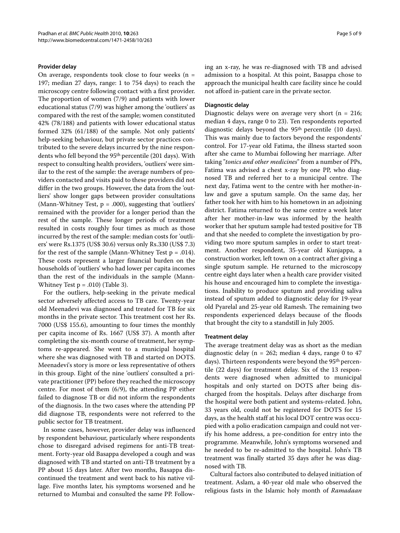# **Provider delay**

On average, respondents took close to four weeks (n = 197; median 27 days, range: 1 to 754 days) to reach the microscopy centre following contact with a first provider. The proportion of women (7/9) and patients with lower educational status (7/9) was higher among the 'outliers' as compared with the rest of the sample; women constituted 42% (78/188) and patients with lower educational status formed 32% (61/188) of the sample. Not only patients' help-seeking behaviour, but private sector practices contributed to the severe delays incurred by the nine respondents who fell beyond the 95th percentile (201 days). With respect to consulting health providers, 'outliers' were similar to the rest of the sample: the average numbers of providers contacted and visits paid to these providers did not differ in the two groups. However, the data from the 'outliers' show longer gaps between provider consultations (Mann-Whitney Test, p = .000), suggesting that 'outliers' remained with the provider for a longer period than the rest of the sample. These longer periods of treatment resulted in costs roughly four times as much as those incurred by the rest of the sample: median costs for 'outliers' were Rs.1375 (US\$ 30.6) versus only Rs.330 (US\$ 7.3) for the rest of the sample (Mann-Whitney Test  $p = .014$ ). These costs represent a larger financial burden on the households of 'outliers' who had lower per capita incomes than the rest of the individuals in the sample (Mann-Whitney Test  $p = .010$ ) (Table 3).

For the outliers, help-seeking in the private medical sector adversely affected access to TB care. Twenty-year old Meenadevi was diagnosed and treated for TB for six months in the private sector. This treatment cost her Rs. 7000 (US\$ 155.6), amounting to four times the monthly per capita income of Rs. 1667 (US\$ 37). A month after completing the six-month course of treatment, her symptoms re-appeared. She went to a municipal hospital where she was diagnosed with TB and started on DOTS. Meenadevi's story is more or less representative of others in this group. Eight of the nine 'outliers' consulted a private practitioner (PP) before they reached the microscopy centre. For most of them (6/9), the attending PP either failed to diagnose TB or did not inform the respondents of the diagnosis. In the two cases where the attending PP did diagnose TB, respondents were not referred to the public sector for TB treatment.

In some cases, however, provider delay was influenced by respondent behaviour, particularly where respondents chose to disregard advised regimens for anti-TB treatment. Forty-year old Basappa developed a cough and was diagnosed with TB and started on anti-TB treatment by a PP about 15 days later. After two months, Basappa discontinued the treatment and went back to his native village. Five months later, his symptoms worsened and he returned to Mumbai and consulted the same PP. Following an x-ray, he was re-diagnosed with TB and advised admission to a hospital. At this point, Basappa chose to approach the municipal health care facility since he could not afford in-patient care in the private sector.

# **Diagnostic delay**

Diagnostic delays were on average very short ( $n = 216$ ; median 4 days, range 0 to 23). Ten respondents reported diagnostic delays beyond the 95<sup>th</sup> percentile (10 days). This was mainly due to factors beyond the respondents' control. For 17-year old Fatima, the illness started soon after she came to Mumbai following her marriage. After taking "*tonics and other medicines*" from a number of PPs, Fatima was advised a chest x-ray by one PP, who diagnosed TB and referred her to a municipal centre. The next day, Fatima went to the centre with her mother-inlaw and gave a sputum sample. On the same day, her father took her with him to his hometown in an adjoining district. Fatima returned to the same centre a week later after her mother-in-law was informed by the health worker that her sputum sample had tested positive for TB and that she needed to complete the investigation by providing two more sputum samples in order to start treatment. Another respondent, 35-year old Kunjappa, a construction worker, left town on a contract after giving a single sputum sample. He returned to the microscopy centre eight days later when a health care provider visited his house and encouraged him to complete the investigations. Inability to produce sputum and providing saliva instead of sputum added to diagnostic delay for 19-year old Pyarelal and 25-year old Ramesh. The remaining two respondents experienced delays because of the floods that brought the city to a standstill in July 2005.

#### **Treatment delay**

The average treatment delay was as short as the median diagnostic delay ( $n = 262$ ; median 4 days, range 0 to 47 days). Thirteen respondents were beyond the 95<sup>th</sup> percentile (22 days) for treatment delay. Six of the 13 respondents were diagnosed when admitted to municipal hospitals and only started on DOTS after being discharged from the hospitals. Delays after discharge from the hospital were both patient and systems-related. John, 33 years old, could not be registered for DOTS for 15 days, as the health staff at his local DOT centre was occupied with a polio eradication campaign and could not verify his home address, a pre-condition for entry into the programme. Meanwhile, John's symptoms worsened and he needed to be re-admitted to the hospital. John's TB treatment was finally started 35 days after he was diagnosed with TB.

Cultural factors also contributed to delayed initiation of treatment. Aslam, a 40-year old male who observed the religious fasts in the Islamic holy month of *Ramadaan*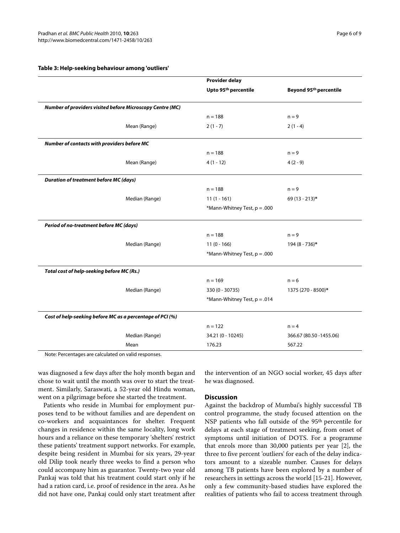|                                               |                                                           | <b>Provider delay</b>        |                          |  |  |
|-----------------------------------------------|-----------------------------------------------------------|------------------------------|--------------------------|--|--|
|                                               |                                                           | Upto 95th percentile         | Beyond 95th percentile   |  |  |
|                                               | Number of providers visited before Microscopy Centre (MC) |                              |                          |  |  |
|                                               |                                                           | $n = 188$                    | $n = 9$                  |  |  |
|                                               | Mean (Range)                                              | $2(1 - 7)$                   | $2(1 - 4)$               |  |  |
| Number of contacts with providers before MC   |                                                           |                              |                          |  |  |
|                                               |                                                           | $n = 188$                    | $n = 9$                  |  |  |
|                                               | Mean (Range)                                              | $4(1 - 12)$                  | $4(2-9)$                 |  |  |
| <b>Duration of treatment before MC (days)</b> |                                                           |                              |                          |  |  |
|                                               |                                                           | $n = 188$                    | $n = 9$                  |  |  |
|                                               | Median (Range)                                            | $11(1 - 161)$                | $69(13 - 213)*$          |  |  |
|                                               |                                                           | *Mann-Whitney Test, p = .000 |                          |  |  |
| Period of no-treatment before MC (days)       |                                                           |                              |                          |  |  |
|                                               |                                                           | $n = 188$                    | $n = 9$                  |  |  |
|                                               | Median (Range)                                            | $11(0 - 166)$                | 194 (8 - 736)*           |  |  |
|                                               |                                                           | *Mann-Whitney Test, p = .000 |                          |  |  |
| Total cost of help-seeking before MC (Rs.)    |                                                           |                              |                          |  |  |
|                                               |                                                           | $n = 169$                    | $n = 6$                  |  |  |
|                                               | Median (Range)                                            | 330 (0 - 30735)              | 1375 (270 - 8500)*       |  |  |
|                                               |                                                           | *Mann-Whitney Test, p = .014 |                          |  |  |
|                                               | Cost of help-seeking before MC as a percentage of PCI (%) |                              |                          |  |  |
|                                               |                                                           | $n = 122$                    | $n = 4$                  |  |  |
|                                               | Median (Range)                                            | 34.21 (0 - 10245)            | 366.67 (80.50 - 1455.06) |  |  |
|                                               | Mean                                                      | 176.23                       | 567.22                   |  |  |

Note: Percentages are calculated on valid responses.

was diagnosed a few days after the holy month began and chose to wait until the month was over to start the treatment. Similarly, Saraswati, a 52-year old Hindu woman, went on a pilgrimage before she started the treatment.

Patients who reside in Mumbai for employment purposes tend to be without families and are dependent on co-workers and acquaintances for shelter. Frequent changes in residence within the same locality, long work hours and a reliance on these temporary 'shelters' restrict these patients' treatment support networks. For example, despite being resident in Mumbai for six years, 29-year old Dilip took nearly three weeks to find a person who could accompany him as guarantor. Twenty-two year old Pankaj was told that his treatment could start only if he had a ration card, i.e. proof of residence in the area. As he did not have one, Pankaj could only start treatment after

the intervention of an NGO social worker, 45 days after he was diagnosed.

# **Discussion**

Against the backdrop of Mumbai's highly successful TB control programme, the study focused attention on the NSP patients who fall outside of the 95th percentile for delays at each stage of treatment seeking, from onset of symptoms until initiation of DOTS. For a programme that enrols more than 30,000 patients per year [\[2](#page-7-1)], the three to five percent 'outliers' for each of the delay indicators amount to a sizeable number. Causes for delays among TB patients have been explored by a number of researchers in settings across the world [\[15](#page-8-5)-[21](#page-8-6)]. However, only a few community-based studies have explored the realities of patients who fail to access treatment through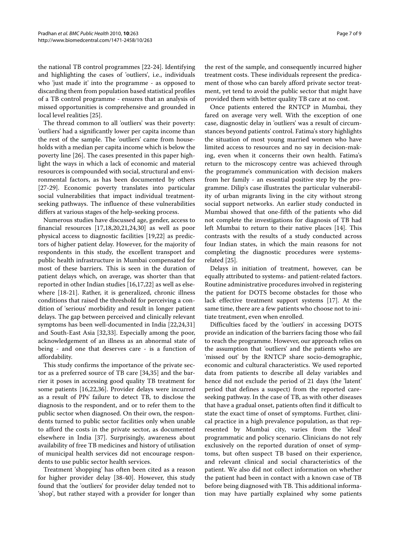the national TB control programmes [\[22](#page-8-7)-[24](#page-8-8)]. Identifying and highlighting the cases of 'outliers', i.e., individuals who 'just made it' into the programme - as opposed to discarding them from population based statistical profiles of a TB control programme - ensures that an analysis of missed opportunities is comprehensive and grounded in local level realities [[25\]](#page-8-9).

The thread common to all 'outliers' was their poverty: 'outliers' had a significantly lower per capita income than the rest of the sample. The 'outliers' came from households with a median per capita income which is below the poverty line [\[26](#page-8-10)]. The cases presented in this paper highlight the ways in which a lack of economic and material resources is compounded with social, structural and environmental factors, as has been documented by others [[27-](#page-8-11)[29](#page-8-12)]. Economic poverty translates into particular social vulnerabilities that impact individual treatmentseeking pathways. The influence of these vulnerabilities differs at various stages of the help-seeking process.

Numerous studies have discussed age, gender, access to financial resources [\[17](#page-8-13)[,18](#page-8-14)[,20](#page-8-15)[,21](#page-8-6)[,24](#page-8-8)[,30](#page-8-16)] as well as poor physical access to diagnostic facilities [[19](#page-8-17),[22](#page-8-7)] as predictors of higher patient delay. However, for the majority of respondents in this study, the excellent transport and public health infrastructure in Mumbai compensated for most of these barriers. This is seen in the duration of patient delays which, on average, was shorter than that reported in other Indian studies [\[16](#page-8-18)[,17](#page-8-13)[,22](#page-8-7)] as well as elsewhere [\[18-](#page-8-14)[21](#page-8-6)]. Rather, it is generalized, chronic illness conditions that raised the threshold for perceiving a condition of 'serious' morbidity and result in longer patient delays. The gap between perceived and clinically relevant symptoms has been well-documented in India [\[22](#page-8-7)[,24](#page-8-8),[31](#page-8-19)] and South-East Asia [[32,](#page-8-20)[33\]](#page-8-21). Especially among the poor, acknowledgement of an illness as an abnormal state of being - and one that deserves care - is a function of affordability.

This study confirms the importance of the private sector as a preferred source of TB care [\[34](#page-8-22),[35](#page-8-23)] and the barrier it poses in accessing good quality TB treatment for some patients [[16](#page-8-18),[22](#page-8-7),[36](#page-8-24)]. Provider delays were incurred as a result of PPs' failure to detect TB, to disclose the diagnosis to the respondent, and or to refer them to the public sector when diagnosed. On their own, the respondents turned to public sector facilities only when unable to afford the costs in the private sector, as documented elsewhere in India [\[37](#page-8-25)]. Surprisingly, awareness about availability of free TB medicines and history of utilisation of municipal health services did not encourage respondents to use public sector health services.

Treatment 'shopping' has often been cited as a reason for higher provider delay [\[38](#page-8-26)-[40\]](#page-8-27). However, this study found that the 'outliers' for provider delay tended not to 'shop', but rather stayed with a provider for longer than

the rest of the sample, and consequently incurred higher treatment costs. These individuals represent the predicament of those who can barely afford private sector treatment, yet tend to avoid the public sector that might have provided them with better quality TB care at no cost.

Once patients entered the RNTCP in Mumbai, they fared on average very well. With the exception of one case, diagnostic delay in 'outliers' was a result of circumstances beyond patients' control. Fatima's story highlights the situation of most young married women who have limited access to resources and no say in decision-making, even when it concerns their own health. Fatima's return to the microscopy centre was achieved through the programme's communication with decision makers from her family - an essential positive step by the programme. Dilip's case illustrates the particular vulnerability of urban migrants living in the city without strong social support networks. An earlier study conducted in Mumbai showed that one-fifth of the patients who did not complete the investigations for diagnosis of TB had left Mumbai to return to their native places [[14\]](#page-8-4). This contrasts with the results of a study conducted across four Indian states, in which the main reasons for not completing the diagnostic procedures were systemsrelated [\[25](#page-8-9)].

Delays in initiation of treatment, however, can be equally attributed to systems- and patient-related factors. Routine administrative procedures involved in registering the patient for DOTS become obstacles for those who lack effective treatment support systems [[17\]](#page-8-13). At the same time, there are a few patients who choose not to initiate treatment, even when enrolled.

Difficulties faced by the 'outliers' in accessing DOTS provide an indication of the barriers facing those who fail to reach the programme. However, our approach relies on the assumption that 'outliers' and the patients who are 'missed out' by the RNTCP share socio-demographic, economic and cultural characteristics. We used reported data from patients to describe all delay variables and hence did not exclude the period of 21 days (the 'latent' period that defines a suspect) from the reported careseeking pathway. In the case of TB, as with other diseases that have a gradual onset, patients often find it difficult to state the exact time of onset of symptoms. Further, clinical practice in a high prevalence population, as that represented by Mumbai city, varies from the 'ideal' programmatic and policy scenario. Clinicians do not rely exclusively on the reported duration of onset of symptoms, but often suspect TB based on their experience, and relevant clinical and social characteristics of the patient. We also did not collect information on whether the patient had been in contact with a known case of TB before being diagnosed with TB. This additional information may have partially explained why some patients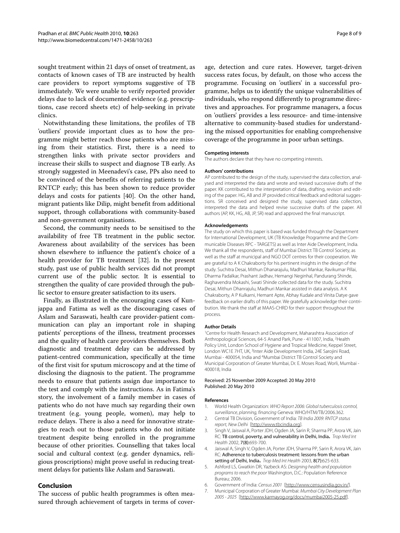sought treatment within 21 days of onset of treatment, as contacts of known cases of TB are instructed by health care providers to report symptoms suggestive of TB immediately. We were unable to verify reported provider delays due to lack of documented evidence (e.g. prescriptions, case record sheets etc) of help-seeking in private clinics.

Notwithstanding these limitations, the profiles of TB 'outliers' provide important clues as to how the programme might better reach those patients who are missing from their statistics. First, there is a need to strengthen links with private sector providers and increase their skills to suspect and diagnose TB early. As strongly suggested in Meenadevi's case, PPs also need to be convinced of the benefits of referring patients to the RNTCP early; this has been shown to reduce provider delays and costs for patients [[40\]](#page-8-27). On the other hand, migrant patients like Dilip, might benefit from additional support, through collaborations with community-based and non-government organisations.

Second, the community needs to be sensitised to the availability of free TB treatment in the public sector. Awareness about availability of the services has been shown elsewhere to influence the patient's choice of a health provider for TB treatment [[32\]](#page-8-20). In the present study, past use of public health services did not prompt current use of the public sector. It is essential to strengthen the quality of care provided through the public sector to ensure greater satisfaction to its users.

Finally, as illustrated in the encouraging cases of Kunjappa and Fatima as well as the discouraging cases of Aslam and Saraswati, health care provider-patient communication can play an important role in shaping patients' perceptions of the illness, treatment processes and the quality of health care providers themselves. Both diagnostic and treatment delay can be addressed by patient-centred communication, specifically at the time of the first visit for sputum microscopy and at the time of disclosing the diagnosis to the patient. The programme needs to ensure that patients assign due importance to the test and comply with the instructions. As in Fatima's story, the involvement of a family member in cases of patients who do not have much say regarding their own treatment (e.g. young people, women), may help to reduce delays. There is also a need for innovative strategies to reach out to those patients who do not initiate treatment despite being enrolled in the programme because of other priorities. Counselling that takes local social and cultural context (e.g. gender dynamics, religious proscriptions) might prove useful in reducing treatment delays for patients like Aslam and Saraswati.

# **Conclusion**

The success of public health programmes is often measured through achievement of targets in terms of cover-

age, detection and cure rates. However, target-driven success rates focus, by default, on those who access the programme. Focusing on 'outliers' in a successful programme, helps us to identify the unique vulnerabilities of individuals, who respond differently to programme directives and approaches. For programme managers, a focus on 'outliers' provides a less resource- and time-intensive alternative to community-based studies for understanding the missed opportunities for enabling comprehensive coverage of the programme in poor urban settings.

# **Competing interests**

The authors declare that they have no competing interests.

#### **Authors' contributions**

AP contributed to the design of the study, supervised the data collection, analysed and interpreted the data and wrote and revised successive drafts of the paper. KK contributed to the interpretation of data, drafting, revision and editing of the paper. HG, AB and JP provided critical feedback and editorial suggestions. SR conceived and designed the study, supervised data collection, interpreted the data and helped revise successive drafts of the paper. All authors (AP, KK, HG, AB, JP, SR) read and approved the final manuscript.

# **Acknowledgements**

The study on which this paper is based was funded through the Department for International Development, UK (TB Knowledge Programme and the Communicable Diseases RPC - TARGETS) as well as Inter Aide Development, India. We thank all the respondents, staff of Mumbai District TB Control Society, as well as the staff at municipal and NGO DOT centres for their cooperation. We are grateful to A K Chakraborty for his pertinent insights in the design of the study. Suchitra Desai, Mithun Dhanarajulu, Madhuri Mankar, Ravikumar Pillai, Dharma Padalkar, Prashant Jadhav, Hemangi Neginhal, Pandurang Shinde, Raghavendra Mokashi, Swati Shinde collected data for the study. Suchitra Desai, Mithun Dhanrajulu, Madhuri Mankar assisted in data analysis. A K Chakraborty, A P Kulkarni, Hemant Apte, Abhay Kudale and Vinita Datye gave feedback on earlier drafts of this paper. We gratefully acknowledge their contribution. We thank the staff at MAAS-CHRD for their support throughout the process.

#### **Author Details**

1Centre for Health Research and Development, Maharashtra Association of Anthropological Sciences, 64-5 Anand Park, Pune - 411007, India, 2Health Policy Unit, London School of Hygiene and Tropical Medicine, Keppel Street, London WC1E 7HT, UK, 3Inter Aide Development India, 24E Sarojini Road, Mumbai - 400054, India and 4Mumbai District TB Control Society and Municipal Corporation of Greater Mumbai, Dr. E. Moses Road, Worli, Mumbai - 400018, India

#### Received: 25 November 2009 Accepted: 20 May 2010 Published: 20 May 2010

# **References**

- <span id="page-7-0"></span>1. World Health Organization: WHO Report 2006: Global tuberculosis control, surveillance, planning, financing Geneva: WHO/HTM/TB/2006.362.
- <span id="page-7-1"></span>2. Central TB Division, Government of India: TB India 2009: RNTCP status report, New Delhi [\[http://www.tbcindia.org\]](http://www.tbcindia.org).
- <span id="page-7-2"></span>3. Singh V, Jaiswal A, Porter JDH, Ogden JA, Sarin R, Sharma PP, Arora VK, Jain RC: TB control, poverty, and vulnerability in Delhi, India**.** Trop Med Int Health 2002, 7(8):693-700.
- <span id="page-7-3"></span>4. Jaiswal A, Singh V, Ogden JA, Porter JDH, Sharma PP, Sarin R, Arora VK, Jain RC: Adherence to tuberculosis treatment: lessons from the urban setting of Delhi, India**.** Trop Med Int Health 2003, 8(7):625-633.
- <span id="page-7-4"></span>5. Ashford LS, Gwatkin DR, Yazbeck AS: Designing health and population programs to reach the poor Washington, D.C.: Population Reference Bureau; 2006.
- <span id="page-7-5"></span>6. Government of India: Census 2001 [\[http://www.censusindia.gov.in/\]](http://www.censusindia.gov.in/).
- <span id="page-7-6"></span>7. Municipal Corporation of Greater Mumbai: Mumbai City Development Plan 2005 - 2025 [<http://www.karmayog.org/docs/mumbai2005-25.pdf>].